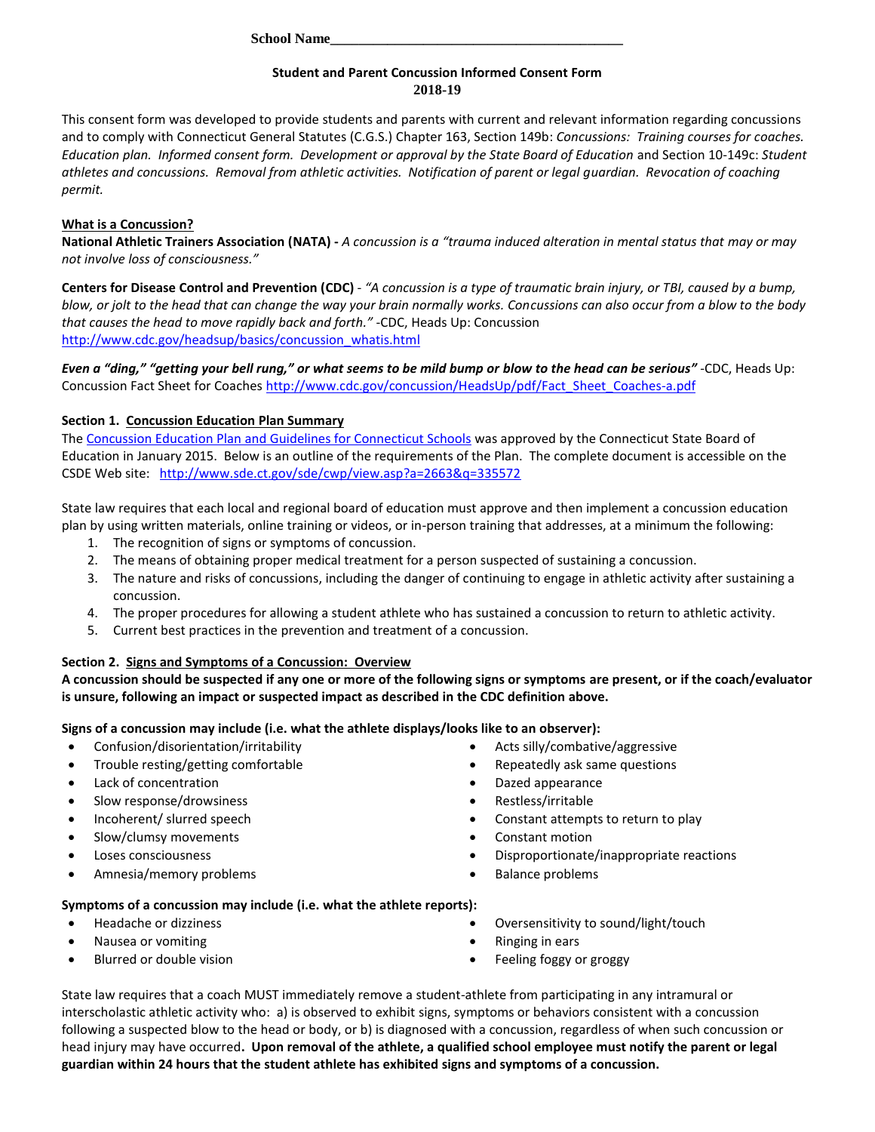**School Name\_\_\_\_\_\_\_\_\_\_\_\_\_\_\_\_\_\_\_\_\_\_\_\_\_\_\_\_\_\_\_\_\_\_\_\_\_\_\_\_\_**

## **Student and Parent Concussion Informed Consent Form 2018-19**

This consent form was developed to provide students and parents with current and relevant information regarding concussions and to comply with Connecticut General Statutes (C.G.S.) Chapter 163, Section 149b: *Concussions: Training courses for coaches. Education plan. Informed consent form. Development or approval by the State Board of Education* and Section 10-149c: *Student athletes and concussions. Removal from athletic activities. Notification of parent or legal guardian. Revocation of coaching permit.*

# **What is a Concussion?**

**National Athletic Trainers Association (NATA) -** *A concussion is a "trauma induced alteration in mental status that may or may not involve loss of consciousness."*

**Centers for Disease Control and Prevention (CDC)** - *"A concussion is a type of traumatic brain injury, or TBI, caused by a bump, blow, or jolt to the head that can change the way your brain normally works. Concussions can also occur from a blow to the body that causes the head to move rapidly back and forth."* -CDC, Heads Up: Concussion [http://www.cdc.gov/headsup/basics/concussion\\_whatis.html](http://www.cdc.gov/headsup/basics/concussion_whatis.html)

*Even a "ding," "getting your bell rung," or what seems to be mild bump or blow to the head can be serious"* -CDC, Heads Up: Concussion Fact Sheet for Coaches [http://www.cdc.gov/concussion/HeadsUp/pdf/Fact\\_Sheet\\_Coaches-a.pdf](http://www.cdc.gov/concussion/HeadsUp/pdf/Fact_Sheet_Coaches-a.pdf)

# **Section 1. Concussion Education Plan Summary**

Th[e Concussion Education Plan and Guidelines for Connecticut Schools](http://www.sde.ct.gov/sde/cwp/view.asp?a=2663&q=335572) was approved by the Connecticut State Board of Education in January 2015. Below is an outline of the requirements of the Plan. The complete document is accessible on the CSDE Web site: <http://www.sde.ct.gov/sde/cwp/view.asp?a=2663&q=335572>

State law requires that each local and regional board of education must approve and then implement a concussion education plan by using written materials, online training or videos, or in-person training that addresses, at a minimum the following:

- 1. The recognition of signs or symptoms of concussion.
- 2. The means of obtaining proper medical treatment for a person suspected of sustaining a concussion.
- 3. The nature and risks of concussions, including the danger of continuing to engage in athletic activity after sustaining a concussion.
- 4. The proper procedures for allowing a student athlete who has sustained a concussion to return to athletic activity.
- 5. Current best practices in the prevention and treatment of a concussion.

## **Section 2. Signs and Symptoms of a Concussion: Overview**

**A concussion should be suspected if any one or more of the following signs or symptoms are present, or if the coach/evaluator is unsure, following an impact or suspected impact as described in the CDC definition above.**

**Signs of a concussion may include (i.e. what the athlete displays/looks like to an observer):**

- Confusion/disorientation/irritability
- Trouble resting/getting comfortable
- Lack of concentration
- Slow response/drowsiness
- Incoherent/ slurred speech
- Slow/clumsy movements
- Loses consciousness
- Amnesia/memory problems
- Acts silly/combative/aggressive
- Repeatedly ask same questions
- Dazed appearance
- Restless/irritable
- Constant attempts to return to play
- Constant motion
- Disproportionate/inappropriate reactions
- Balance problems

## **Symptoms of a concussion may include (i.e. what the athlete reports):**

- Headache or dizziness
- Nausea or vomiting
- Blurred or double vision
- Oversensitivity to sound/light/touch
- Ringing in ears
- Feeling foggy or groggy

State law requires that a coach MUST immediately remove a student-athlete from participating in any intramural or interscholastic athletic activity who: a) is observed to exhibit signs, symptoms or behaviors consistent with a concussion following a suspected blow to the head or body, or b) is diagnosed with a concussion, regardless of when such concussion or head injury may have occurred**. Upon removal of the athlete, a qualified school employee must notify the parent or legal guardian within 24 hours that the student athlete has exhibited signs and symptoms of a concussion.**